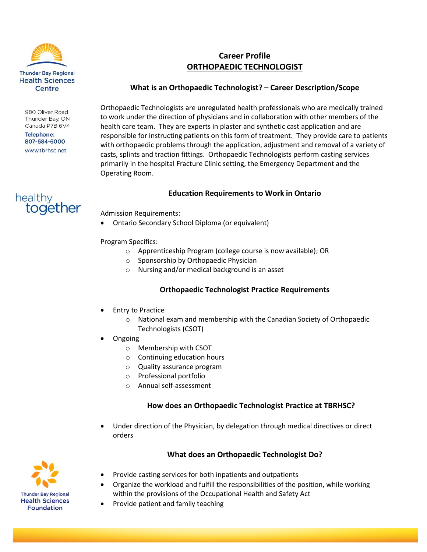

980 Oliver Road Thunder Bay, ON Canada P7B 6V4

**Telephone:** 807-684-6000 www.tbrhsc.net



# **Career Profile ORTHOPAEDIC TECHNOLOGIST**

## **What is an Orthopaedic Technologist? – Career Description/Scope**

Orthopaedic Technologists are unregulated health professionals who are medically trained to work under the direction of physicians and in collaboration with other members of the health care team. They are experts in plaster and synthetic cast application and are responsible for instructing patients on this form of treatment. They provide care to patients with orthopaedic problems through the application, adjustment and removal of a variety of casts, splints and traction fittings. Orthopaedic Technologists perform casting services primarily in the hospital Fracture Clinic setting, the Emergency Department and the Operating Room.

# **Education Requirements to Work in Ontario**

Admission Requirements:

Ontario Secondary School Diploma (or equivalent)

Program Specifics:

- o Apprenticeship Program (college course is now available); OR
- o Sponsorship by Orthopaedic Physician
- o Nursing and/or medical background is an asset

#### **Orthopaedic Technologist Practice Requirements**

- Entry to Practice
	- o National exam and membership with the Canadian Society of Orthopaedic Technologists (CSOT)
- Ongoing
	- o Membership with CSOT
	- o Continuing education hours
	- o Quality assurance program
	- o Professional portfolio
	- o Annual self-assessment

#### **How does an Orthopaedic Technologist Practice at TBRHSC?**

 Under direction of the Physician, by delegation through medical directives or direct orders

#### **What does an Orthopaedic Technologist Do?**



- Provide casting services for both inpatients and outpatients
- Organize the workload and fulfill the responsibilities of the position, while working within the provisions of the Occupational Health and Safety Act
- Provide patient and family teaching